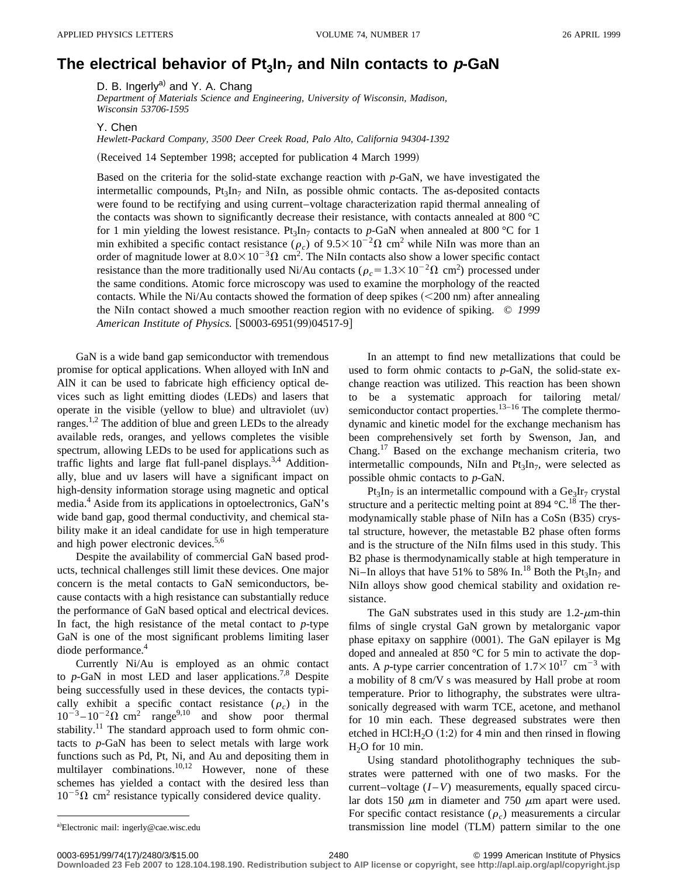## The electrical behavior of  $Pt_3In_7$  and Niln contacts to  $p$ -GaN

D. B. Ingerly<sup>a)</sup> and Y. A. Chang

*Department of Materials Science and Engineering, University of Wisconsin, Madison, Wisconsin 53706-1595*

Y. Chen

*Hewlett-Packard Company, 3500 Deer Creek Road, Palo Alto, California 94304-1392*

(Received 14 September 1998; accepted for publication 4 March 1999)

Based on the criteria for the solid-state exchange reaction with *p*-GaN, we have investigated the intermetallic compounds,  $Pt_3In_7$  and NiIn, as possible ohmic contacts. The as-deposited contacts were found to be rectifying and using current–voltage characterization rapid thermal annealing of the contacts was shown to significantly decrease their resistance, with contacts annealed at 800 °C for 1 min yielding the lowest resistance. Pt<sub>3</sub>In<sub>7</sub> contacts to p-GaN when annealed at 800 °C for 1 min exhibited a specific contact resistance ( $\rho_c$ ) of  $9.5 \times 10^{-2} \Omega$  cm<sup>2</sup> while NiIn was more than an order of magnitude lower at  $8.0\times10^{-3}\Omega$  cm<sup>2</sup>. The NiIn contacts also show a lower specific contact resistance than the more traditionally used Ni/Au contacts ( $\rho_c = 1.3 \times 10^{-2} \Omega \text{ cm}^2$ ) processed under the same conditions. Atomic force microscopy was used to examine the morphology of the reacted contacts. While the Ni/Au contacts showed the formation of deep spikes  $(<200 \text{ nm}$ ) after annealing the NiIn contact showed a much smoother reaction region with no evidence of spiking. © *1999 American Institute of Physics.* [S0003-6951(99)04517-9]

GaN is a wide band gap semiconductor with tremendous promise for optical applications. When alloyed with InN and AlN it can be used to fabricate high efficiency optical devices such as light emitting diodes (LEDs) and lasers that operate in the visible (yellow to blue) and ultraviolet  $(uv)$ ranges.<sup>1,2</sup> The addition of blue and green LEDs to the already available reds, oranges, and yellows completes the visible spectrum, allowing LEDs to be used for applications such as traffic lights and large flat full-panel displays.<sup>3,4</sup> Additionally, blue and uv lasers will have a significant impact on high-density information storage using magnetic and optical media.4 Aside from its applications in optoelectronics, GaN's wide band gap, good thermal conductivity, and chemical stability make it an ideal candidate for use in high temperature and high power electronic devices.<sup>5,6</sup>

Despite the availability of commercial GaN based products, technical challenges still limit these devices. One major concern is the metal contacts to GaN semiconductors, because contacts with a high resistance can substantially reduce the performance of GaN based optical and electrical devices. In fact, the high resistance of the metal contact to *p*-type GaN is one of the most significant problems limiting laser diode performance.<sup>4</sup>

Currently Ni/Au is employed as an ohmic contact to  $p$ -GaN in most LED and laser applications.<sup>7,8</sup> Despite being successfully used in these devices, the contacts typically exhibit a specific contact resistance  $(\rho_c)$  in the  $10^{-3} - 10^{-2} \Omega$  cm<sup>2</sup> range<sup>9,10</sup> and show poor thermal stability.<sup>11</sup> The standard approach used to form ohmic contacts to *p*-GaN has been to select metals with large work functions such as Pd, Pt, Ni, and Au and depositing them in multilayer combinations.<sup>10,12</sup> However, none of these schemes has yielded a contact with the desired less than  $10^{-5} \Omega$  cm<sup>2</sup> resistance typically considered device quality.

In an attempt to find new metallizations that could be used to form ohmic contacts to *p*-GaN, the solid-state exchange reaction was utilized. This reaction has been shown to be a systematic approach for tailoring metal/ semiconductor contact properties.<sup>13–16</sup> The complete thermodynamic and kinetic model for the exchange mechanism has been comprehensively set forth by Swenson, Jan, and Chang.<sup>17</sup> Based on the exchange mechanism criteria, two intermetallic compounds, NiIn and  $Pt_3In_7$ , were selected as possible ohmic contacts to *p*-GaN.

 $Pt_3In_7$  is an intermetallic compound with a  $Ge_3Ir_7$  crystal structure and a peritectic melting point at 894  $^{\circ}$ C.<sup>18</sup> The thermodynamically stable phase of NiIn has a CoSn (B35) crystal structure, however, the metastable B2 phase often forms and is the structure of the NiIn films used in this study. This B2 phase is thermodynamically stable at high temperature in Ni–In alloys that have 51% to 58% In.<sup>18</sup> Both the Pt<sub>3</sub>In<sub>7</sub> and NiIn alloys show good chemical stability and oxidation resistance.

The GaN substrates used in this study are  $1.2$ - $\mu$ m-thin films of single crystal GaN grown by metalorganic vapor phase epitaxy on sapphire  $(0001)$ . The GaN epilayer is Mg doped and annealed at 850 °C for 5 min to activate the dopants. A *p*-type carrier concentration of  $1.7 \times 10^{17}$  cm<sup>-3</sup> with a mobility of 8 cm/V s was measured by Hall probe at room temperature. Prior to lithography, the substrates were ultrasonically degreased with warm TCE, acetone, and methanol for 10 min each. These degreased substrates were then etched in HCl:H<sub>2</sub>O  $(1:2)$  for 4 min and then rinsed in flowing  $H<sub>2</sub>O$  for 10 min.

Using standard photolithography techniques the substrates were patterned with one of two masks. For the current–voltage  $(I - V)$  measurements, equally spaced circular dots 150  $\mu$ m in diameter and 750  $\mu$ m apart were used. For specific contact resistance  $(\rho_c)$  measurements a circular transmission line model (TLM) pattern similar to the one

**Downloaded 23 Feb 2007 to 128.104.198.190. Redistribution subject to AIP license or copyright, see http://apl.aip.org/apl/copyright.jsp**

a)Electronic mail: ingerly@cae.wisc.edu

<sup>0003-6951/99/74(17)/2480/3/\$15.00 © 1999</sup> American Institute of Physics 2480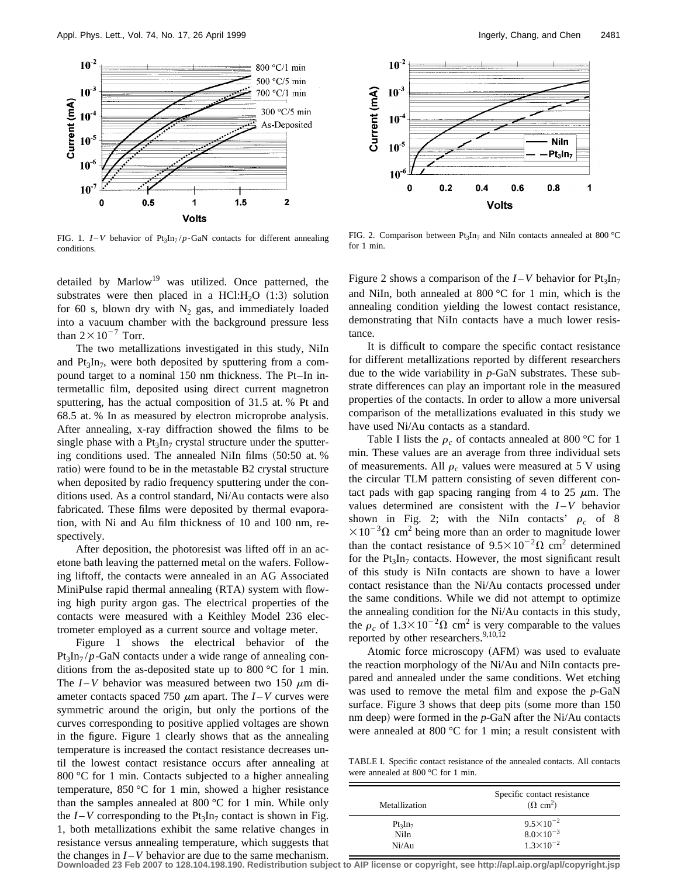

FIG. 1.  $I - V$  behavior of  $Pt_3In_7/p-GaN$  contacts for different annealing conditions.

detailed by  $Marlow^{19}$  was utilized. Once patterned, the substrates were then placed in a HCl:  $H<sub>2</sub>O$  (1:3) solution for 60 s, blown dry with  $N_2$  gas, and immediately loaded into a vacuum chamber with the background pressure less than  $2\times10^{-7}$  Torr.

The two metallizations investigated in this study, NiIn and  $Pt_3In_7$ , were both deposited by sputtering from a compound target to a nominal 150 nm thickness. The Pt–In intermetallic film, deposited using direct current magnetron sputtering, has the actual composition of 31.5 at. % Pt and 68.5 at. % In as measured by electron microprobe analysis. After annealing, x-ray diffraction showed the films to be single phase with a  $Pt_3In_7$  crystal structure under the sputtering conditions used. The annealed NiIn films  $(50:50$  at. % ratio) were found to be in the metastable B2 crystal structure when deposited by radio frequency sputtering under the conditions used. As a control standard, Ni/Au contacts were also fabricated. These films were deposited by thermal evaporation, with Ni and Au film thickness of 10 and 100 nm, respectively.

After deposition, the photoresist was lifted off in an acetone bath leaving the patterned metal on the wafers. Following liftoff, the contacts were annealed in an AG Associated MiniPulse rapid thermal annealing (RTA) system with flowing high purity argon gas. The electrical properties of the contacts were measured with a Keithley Model 236 electrometer employed as a current source and voltage meter.

Figure 1 shows the electrical behavior of the  $Pt_3In_7/p-GaN$  contacts under a wide range of annealing conditions from the as-deposited state up to 800 °C for 1 min. The  $I - V$  behavior was measured between two 150  $\mu$ m diameter contacts spaced 750  $\mu$ m apart. The *I* – *V* curves were symmetric around the origin, but only the portions of the curves corresponding to positive applied voltages are shown in the figure. Figure 1 clearly shows that as the annealing temperature is increased the contact resistance decreases until the lowest contact resistance occurs after annealing at 800 °C for 1 min. Contacts subjected to a higher annealing temperature, 850 °C for 1 min, showed a higher resistance than the samples annealed at 800 °C for 1 min. While only the  $I - V$  corresponding to the  $Pt_3In_7$  contact is shown in Fig. 1, both metallizations exhibit the same relative changes in resistance versus annealing temperature, which suggests that the changes in  $I - V$  behavior are due to the same mechanism.



FIG. 2. Comparison between  $Pt_3In_7$  and NiIn contacts annealed at 800 °C for 1 min.

Figure 2 shows a comparison of the  $I - V$  behavior for  $Pt_3In_7$ and NiIn, both annealed at 800 °C for 1 min, which is the annealing condition yielding the lowest contact resistance, demonstrating that NiIn contacts have a much lower resistance.

It is difficult to compare the specific contact resistance for different metallizations reported by different researchers due to the wide variability in *p*-GaN substrates. These substrate differences can play an important role in the measured properties of the contacts. In order to allow a more universal comparison of the metallizations evaluated in this study we have used Ni/Au contacts as a standard.

Table I lists the  $\rho_c$  of contacts annealed at 800 °C for 1 min. These values are an average from three individual sets of measurements. All  $\rho_c$  values were measured at 5 V using the circular TLM pattern consisting of seven different contact pads with gap spacing ranging from 4 to 25  $\mu$ m. The values determined are consistent with the  $I-V$  behavior shown in Fig. 2; with the NiIn contacts'  $\rho_c$  of 8  $\times 10^{-3} \Omega$  cm<sup>2</sup> being more than an order to magnitude lower than the contact resistance of  $9.5 \times 10^{-2} \Omega$  cm<sup>2</sup> determined for the  $Pt_3In_7$  contacts. However, the most significant result of this study is NiIn contacts are shown to have a lower contact resistance than the Ni/Au contacts processed under the same conditions. While we did not attempt to optimize the annealing condition for the Ni/Au contacts in this study, the  $\rho_c$  of  $1.3 \times 10^{-2} \Omega$  cm<sup>2</sup> is very comparable to the values reported by other researchers.<sup>9,10,12</sup>

Atomic force microscopy (AFM) was used to evaluate the reaction morphology of the Ni/Au and NiIn contacts prepared and annealed under the same conditions. Wet etching was used to remove the metal film and expose the *p*-GaN surface. Figure  $3$  shows that deep pits (some more than  $150$ nm deep) were formed in the  $p$ -GaN after the Ni/Au contacts were annealed at 800 °C for 1 min; a result consistent with

TABLE I. Specific contact resistance of the annealed contacts. All contacts were annealed at 800 °C for 1 min.

| Metallization | Specific contact resistance<br>$(\Omega \text{ cm}^2)$ |
|---------------|--------------------------------------------------------|
| $Pt_3In_7$    | $9.5 \times 10^{-2}$                                   |
| NiIn          | $8.0 \times 10^{-3}$                                   |
| Ni/Au         | $1.3 \times 10^{-2}$                                   |

**Downloaded 23 Feb 2007 to 128.104.198.190. Redistribution subject to AIP license or copyright, see http://apl.aip.org/apl/copyright.jsp**